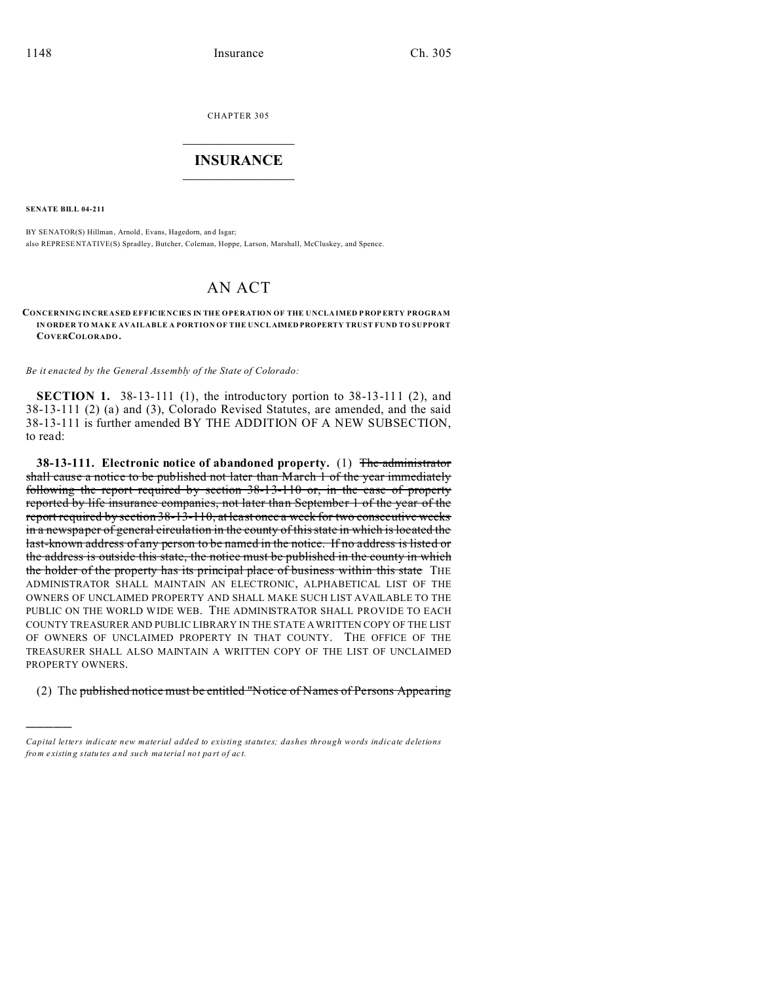CHAPTER 305  $\overline{\phantom{a}}$  , where  $\overline{\phantom{a}}$ 

# **INSURANCE**  $\_$   $\_$   $\_$   $\_$   $\_$   $\_$   $\_$   $\_$

**SENATE BILL 04-211**

)))))

BY SENATOR(S) Hillman, Arnold, Evans, Hagedorn, and Isgar; also REPRESE NTATIVE(S) Spradley, Butcher, Coleman, Hoppe, Larson, Marshall, McCluskey, and Spence.

# AN ACT

#### **CONCERNING INCREASED EFFICIENCIES IN THE OPERATION OF THE U NCLA IMED P ROP ERTY PROGRAM IN ORDER TO MAK E AVAILABLE A PORTION OF THE UNCL AIMED PROPERTY TRUST FUND TO SUPPORT COVERCOLORADO.**

*Be it enacted by the General Assembly of the State of Colorado:*

**SECTION 1.** 38-13-111 (1), the introductory portion to 38-13-111 (2), and 38-13-111 (2) (a) and (3), Colorado Revised Statutes, are amended, and the said 38-13-111 is further amended BY THE ADDITION OF A NEW SUBSECTION, to read:

**38-13-111. Electronic notice of abandoned property.** (1) The administrator shall cause a notice to be published not later than March 1 of the year immediately following the report required by section 38-13-110 or, in the case of property reported by life insurance companies, not later than September 1 of the year of the report required by section 38-13-110, at least once a week for two consecutive weeks in a newspaper of general circulation in the county of this state in which is located the last-known address of any person to be named in the notice. If no address is listed or the address is outside this state, the notice must be published in the county in which the holder of the property has its principal place of business within this state THE ADMINISTRATOR SHALL MAINTAIN AN ELECTRONIC, ALPHABETICAL LIST OF THE OWNERS OF UNCLAIMED PROPERTY AND SHALL MAKE SUCH LIST AVAILABLE TO THE PUBLIC ON THE WORLD WIDE WEB. THE ADMINISTRATOR SHALL PROVIDE TO EACH COUNTY TREASURER AND PUBLIC LIBRARY IN THE STATE A WRITTEN COPY OF THE LIST OF OWNERS OF UNCLAIMED PROPERTY IN THAT COUNTY. THE OFFICE OF THE TREASURER SHALL ALSO MAINTAIN A WRITTEN COPY OF THE LIST OF UNCLAIMED PROPERTY OWNERS.

#### (2) The published notice must be entitled "Notice of Names of Persons Appearing

*Capital letters indicate new material added to existing statutes; dashes through words indicate deletions from e xistin g statu tes a nd such ma teria l no t pa rt of ac t.*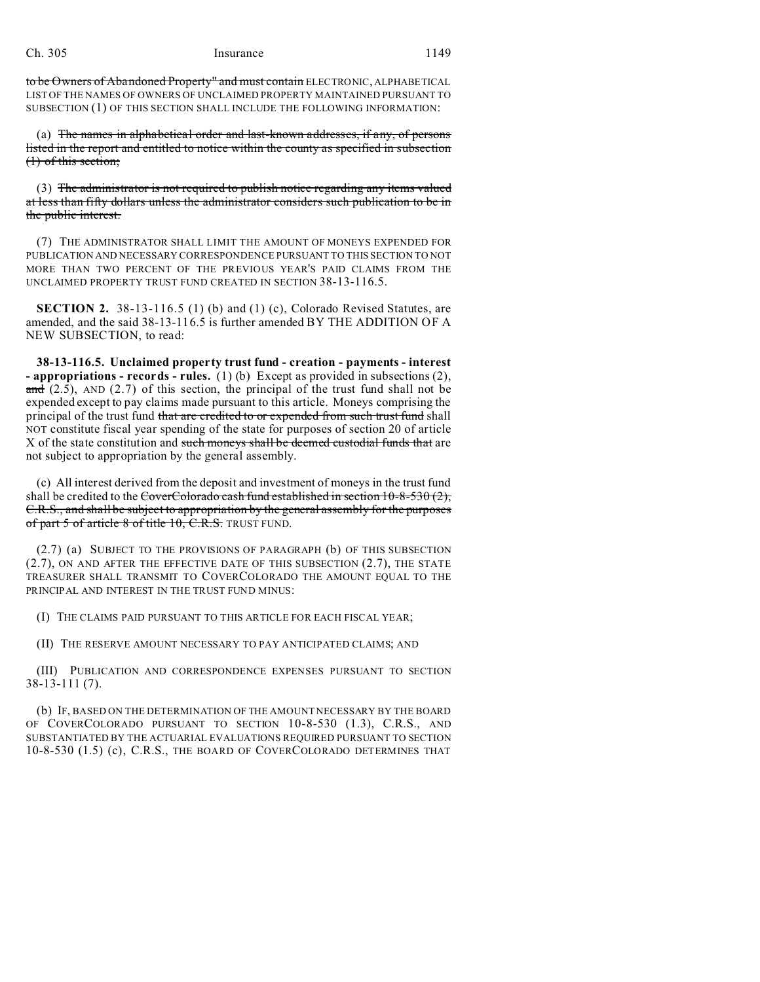#### Ch. 305 Insurance 1149

to be Owners of Abandoned Property" and must contain ELECTRONIC, ALPHABETICAL LIST OF THE NAMES OF OWNERS OF UNCLAIMED PROPERTY MAINTAINED PURSUANT TO SUBSECTION (1) OF THIS SECTION SHALL INCLUDE THE FOLLOWING INFORMATION:

(a) The names in alphabetical order and last-known addresses, if any, of persons listed in the report and entitled to notice within the county as specified in subsection (1) of this section;

(3) The administrator is not required to publish notice regarding any items valued at less than fifty dollars unless the administrator considers such publication to be in the public interest.

(7) THE ADMINISTRATOR SHALL LIMIT THE AMOUNT OF MONEYS EXPENDED FOR PUBLICATION AND NECESSARY CORRESPONDENCE PURSUANT TO THIS SECTION TO NOT MORE THAN TWO PERCENT OF THE PREVIOUS YEAR'S PAID CLAIMS FROM THE UNCLAIMED PROPERTY TRUST FUND CREATED IN SECTION 38-13-116.5.

**SECTION 2.** 38-13-116.5 (1) (b) and (1) (c), Colorado Revised Statutes, are amended, and the said 38-13-116.5 is further amended BY THE ADDITION OF A NEW SUBSECTION, to read:

**38-13-116.5. Unclaimed property trust fund - creation - payments - interest - appropriations - records - rules.** (1) (b) Except as provided in subsections (2), and  $(2.5)$ , AND  $(2.7)$  of this section, the principal of the trust fund shall not be expended except to pay claims made pursuant to this article. Moneys comprising the principal of the trust fund that are credited to or expended from such trust fund shall NOT constitute fiscal year spending of the state for purposes of section 20 of article X of the state constitution and such moneys shall be deemed custodial funds that are not subject to appropriation by the general assembly.

(c) All interest derived from the deposit and investment of moneys in the trust fund shall be credited to the CoverColorado cash fund established in section  $10-8-530(2)$ , C.R.S., and shall be subject to appropriation by the general assembly for the purposes of part 5 of article 8 of title 10, C.R.S. TRUST FUND.

(2.7) (a) SUBJECT TO THE PROVISIONS OF PARAGRAPH (b) OF THIS SUBSECTION (2.7), ON AND AFTER THE EFFECTIVE DATE OF THIS SUBSECTION (2.7), THE STATE TREASURER SHALL TRANSMIT TO COVERCOLORADO THE AMOUNT EQUAL TO THE PRINCIPAL AND INTEREST IN THE TRUST FUND MINUS:

(I) THE CLAIMS PAID PURSUANT TO THIS ARTICLE FOR EACH FISCAL YEAR;

(II) THE RESERVE AMOUNT NECESSARY TO PAY ANTICIPATED CLAIMS; AND

(III) PUBLICATION AND CORRESPONDENCE EXPENSES PURSUANT TO SECTION 38-13-111 (7).

(b) IF, BASED ON THE DETERMINATION OF THE AMOUNT NECESSARY BY THE BOARD OF COVERCOLORADO PURSUANT TO SECTION 10-8-530 (1.3), C.R.S., AND SUBSTANTIATED BY THE ACTUARIAL EVALUATIONS REQUIRED PURSUANT TO SECTION 10-8-530 (1.5) (c), C.R.S., THE BOARD OF COVERCOLORADO DETERMINES THAT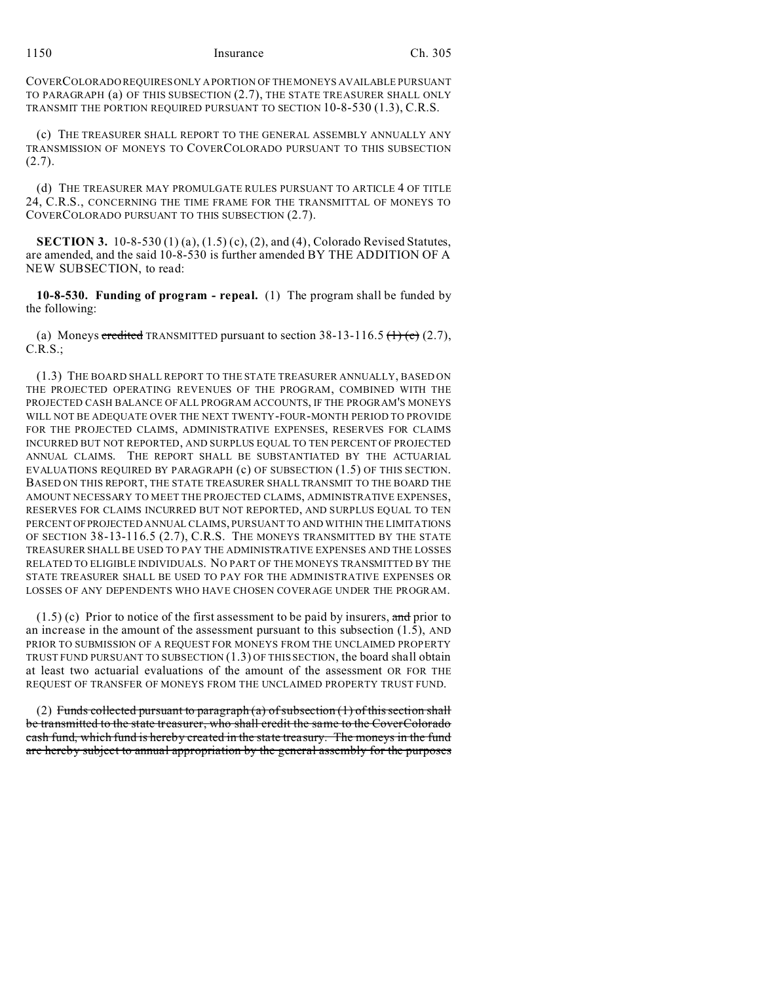## 1150 Insurance Ch. 305

COVERCOLORADO REQUIRES ONLY A PORTION OF THE MONEYS AVAILABLE PURSUANT TO PARAGRAPH (a) OF THIS SUBSECTION (2.7), THE STATE TREASURER SHALL ONLY TRANSMIT THE PORTION REQUIRED PURSUANT TO SECTION 10-8-530 (1.3), C.R.S.

(c) THE TREASURER SHALL REPORT TO THE GENERAL ASSEMBLY ANNUALLY ANY TRANSMISSION OF MONEYS TO COVERCOLORADO PURSUANT TO THIS SUBSECTION  $(2.7).$ 

(d) THE TREASURER MAY PROMULGATE RULES PURSUANT TO ARTICLE 4 OF TITLE 24, C.R.S., CONCERNING THE TIME FRAME FOR THE TRANSMITTAL OF MONEYS TO COVERCOLORADO PURSUANT TO THIS SUBSECTION (2.7).

**SECTION 3.** 10-8-530 (1) (a), (1.5) (c), (2), and (4), Colorado Revised Statutes, are amended, and the said 10-8-530 is further amended BY THE ADDITION OF A NEW SUBSECTION, to read:

**10-8-530. Funding of program - repeal.** (1) The program shall be funded by the following:

(a) Moneys credited TRANSMITTED pursuant to section  $38-13-116.5$  (1) (e) (2.7), C.R.S.;

(1.3) THE BOARD SHALL REPORT TO THE STATE TREASURER ANNUALLY, BASED ON THE PROJECTED OPERATING REVENUES OF THE PROGRAM, COMBINED WITH THE PROJECTED CASH BALANCE OF ALL PROGRAM ACCOUNTS, IF THE PROGRAM'S MONEYS WILL NOT BE ADEQUATE OVER THE NEXT TWENTY-FOUR-MONTH PERIOD TO PROVIDE FOR THE PROJECTED CLAIMS, ADMINISTRATIVE EXPENSES, RESERVES FOR CLAIMS INCURRED BUT NOT REPORTED, AND SURPLUS EQUAL TO TEN PERCENT OF PROJECTED ANNUAL CLAIMS. THE REPORT SHALL BE SUBSTANTIATED BY THE ACTUARIAL EVALUATIONS REQUIRED BY PARAGRAPH (c) OF SUBSECTION (1.5) OF THIS SECTION. BASED ON THIS REPORT, THE STATE TREASURER SHALL TRANSMIT TO THE BOARD THE AMOUNT NECESSARY TO MEET THE PROJECTED CLAIMS, ADMINISTRATIVE EXPENSES, RESERVES FOR CLAIMS INCURRED BUT NOT REPORTED, AND SURPLUS EQUAL TO TEN PERCENT OFPROJECTED ANNUAL CLAIMS, PURSUANT TO AND WITHIN THE LIMITATIONS OF SECTION 38-13-116.5 (2.7), C.R.S. THE MONEYS TRANSMITTED BY THE STATE TREASURER SHALL BE USED TO PAY THE ADMINISTRATIVE EXPENSES AND THE LOSSES RELATED TO ELIGIBLE INDIVIDUALS. NO PART OF THE MONEYS TRANSMITTED BY THE STATE TREASURER SHALL BE USED TO PAY FOR THE ADMINISTRATIVE EXPENSES OR LOSSES OF ANY DEPENDENTS WHO HAVE CHOSEN COVERAGE UNDER THE PROGRAM.

 $(1.5)$  (c) Prior to notice of the first assessment to be paid by insurers, and prior to an increase in the amount of the assessment pursuant to this subsection  $(1.5)$ , AND PRIOR TO SUBMISSION OF A REQUEST FOR MONEYS FROM THE UNCLAIMED PROPERTY TRUST FUND PURSUANT TO SUBSECTION (1.3) OF THIS SECTION, the board shall obtain at least two actuarial evaluations of the amount of the assessment OR FOR THE REQUEST OF TRANSFER OF MONEYS FROM THE UNCLAIMED PROPERTY TRUST FUND.

(2) Funds collected pursuant to paragraph (a) of subsection (1) of this section shall be transmitted to the state treasurer, who shall credit the same to the CoverColorado cash fund, which fund is hereby created in the state treasury. The moneys in the fund are hereby subject to annual appropriation by the general assembly for the purposes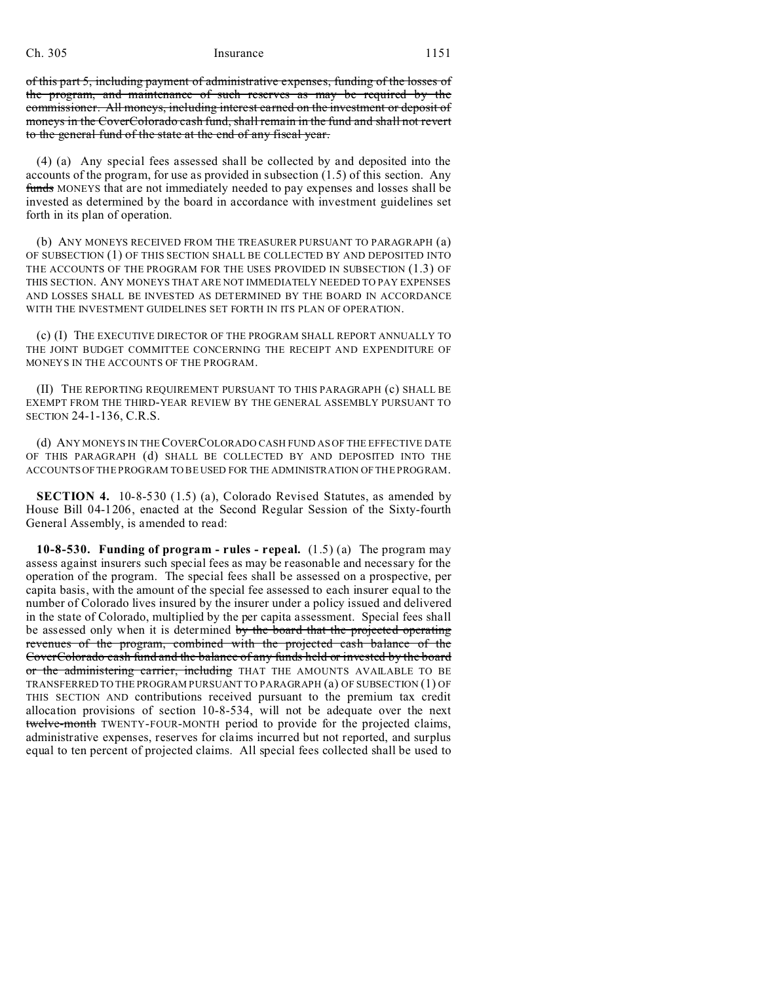## Ch. 305 Insurance 1151

of this part 5, including payment of administrative expenses, funding of the losses of the program, and maintenance of such reserves as may be required by the commissioner. All moneys, including interest earned on the investment or deposit of moneys in the CoverColorado cash fund, shall remain in the fund and shall not revert to the general fund of the state at the end of any fiscal year.

(4) (a) Any special fees assessed shall be collected by and deposited into the accounts of the program, for use as provided in subsection (1.5) of this section. Any funds MONEYS that are not immediately needed to pay expenses and losses shall be invested as determined by the board in accordance with investment guidelines set forth in its plan of operation.

(b) ANY MONEYS RECEIVED FROM THE TREASURER PURSUANT TO PARAGRAPH (a) OF SUBSECTION (1) OF THIS SECTION SHALL BE COLLECTED BY AND DEPOSITED INTO THE ACCOUNTS OF THE PROGRAM FOR THE USES PROVIDED IN SUBSECTION (1.3) OF THIS SECTION. ANY MONEYS THAT ARE NOT IMMEDIATELY NEEDED TO PAY EXPENSES AND LOSSES SHALL BE INVESTED AS DETERMINED BY THE BOARD IN ACCORDANCE WITH THE INVESTMENT GUIDELINES SET FORTH IN ITS PLAN OF OPERATION.

(c) (I) THE EXECUTIVE DIRECTOR OF THE PROGRAM SHALL REPORT ANNUALLY TO THE JOINT BUDGET COMMITTEE CONCERNING THE RECEIPT AND EXPENDITURE OF MONEYS IN THE ACCOUNTS OF THE PROGRAM.

(II) THE REPORTING REQUIREMENT PURSUANT TO THIS PARAGRAPH (c) SHALL BE EXEMPT FROM THE THIRD-YEAR REVIEW BY THE GENERAL ASSEMBLY PURSUANT TO SECTION 24-1-136, C.R.S.

(d) ANY MONEYS IN THE COVERCOLORADO CASH FUND AS OF THE EFFECTIVE DATE OF THIS PARAGRAPH (d) SHALL BE COLLECTED BY AND DEPOSITED INTO THE ACCOUNTS OF THE PROGRAM TO BE USED FOR THE ADMINISTRATION OF THE PROGRAM.

**SECTION 4.** 10-8-530 (1.5) (a), Colorado Revised Statutes, as amended by House Bill 04-1206, enacted at the Second Regular Session of the Sixty-fourth General Assembly, is amended to read:

**10-8-530. Funding of program - rules - repeal.** (1.5) (a) The program may assess against insurers such special fees as may be reasonable and necessary for the operation of the program. The special fees shall be assessed on a prospective, per capita basis, with the amount of the special fee assessed to each insurer equal to the number of Colorado lives insured by the insurer under a policy issued and delivered in the state of Colorado, multiplied by the per capita assessment. Special fees shall be assessed only when it is determined by the board that the projected operating revenues of the program, combined with the projected cash balance of the CoverColorado cash fund and the balance of any funds held or invested by the board or the administering carrier, including THAT THE AMOUNTS AVAILABLE TO BE TRANSFERRED TO THE PROGRAM PURSUANT TO PARAGRAPH (a) OF SUBSECTION (1) OF THIS SECTION AND contributions received pursuant to the premium tax credit allocation provisions of section 10-8-534, will not be adequate over the next twelve-month TWENTY-FOUR-MONTH period to provide for the projected claims, administrative expenses, reserves for claims incurred but not reported, and surplus equal to ten percent of projected claims. All special fees collected shall be used to